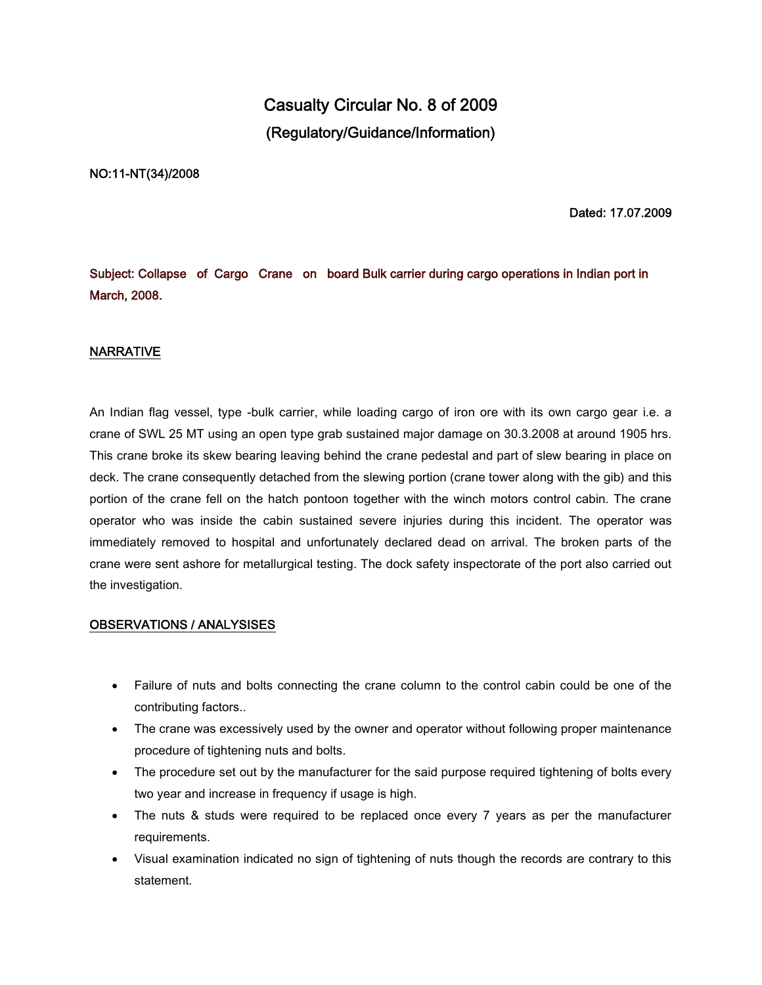# **Casualty Circular No. 8 of 2009 (Regulatory/Guidance/Information)**

#### **NO:11-NT(34)/2008**

**Dated: 17.07.2009**

**Subject: Collapse of Cargo Crane on board Bulk carrier during cargo operations in Indian port in March, 2008.**

### **NARRATIVE**

An Indian flag vessel, type -bulk carrier, while loading cargo of iron ore with its own cargo gear i.e. a crane of SWL 25 MT using an open type grab sustained major damage on 30.3.2008 at around 1905 hrs. This crane broke its skew bearing leaving behind the crane pedestal and part of slew bearing in place on deck. The crane consequently detached from the slewing portion (crane tower along with the gib) and this portion of the crane fell on the hatch pontoon together with the winch motors control cabin. The crane operator who was inside the cabin sustained severe injuries during this incident. The operator was immediately removed to hospital and unfortunately declared dead on arrival. The broken parts of the crane were sent ashore for metallurgical testing. The dock safety inspectorate of the port also carried out the investigation.

### **OBSERVATIONS / ANALYSISES**

- Failure of nuts and bolts connecting the crane column to the control cabin could be one of the contributing factors..
- The crane was excessively used by the owner and operator without following proper maintenance procedure of tightening nuts and bolts.
- The procedure set out by the manufacturer for the said purpose required tightening of bolts every two year and increase in frequency if usage is high.
- The nuts & studs were required to be replaced once every 7 years as per the manufacturer requirements.
- Visual examination indicated no sign of tightening of nuts though the records are contrary to this statement.